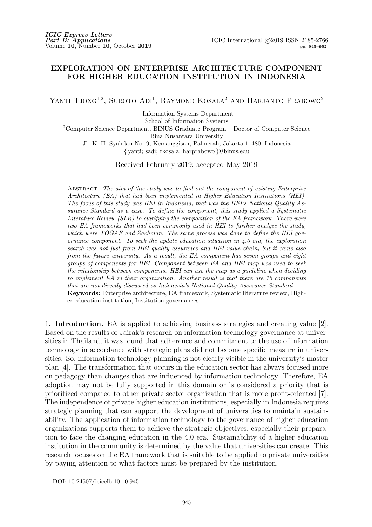## **EXPLORATION ON ENTERPRISE ARCHITECTURE COMPONENT FOR HIGHER EDUCATION INSTITUTION IN INDONESIA**

YANTI TJONG<sup>1,2</sup>, SUROTO ADI<sup>1</sup>, RAYMOND KOSALA<sup>2</sup> AND HARJANTO PRABOWO<sup>2</sup>

1 Information Systems Department

School of Information Systems

<sup>2</sup>Computer Science Department, BINUS Graduate Program – Doctor of Computer Science Bina Nusantara University

Jl. K. H. Syahdan No. 9, Kemanggisan, Palmerah, Jakarta 11480, Indonesia

*{* yanti; sadi; rkosala; harprabowo *}*@binus.edu

Received February 2019; accepted May 2019

Abstract. *The aim of this study was to find out the component of existing Enterprise Architecture (EA) that had been implemented in Higher Education Institutions (HEI). The focus of this study was HEI in Indonesia, that was the HEI's National Quality Assurance Standard as a case. To define the component, this study applied a Systematic Literature Review (SLR) to clarifying the composition of the EA framework. There were two EA frameworks that had been commonly used in HEI to further analyze the study, which were TOGAF and Zachman. The same process was done to define the HEI governance component. To seek the update education situation in 4.0 era, the exploration search was not just from HEI quality assurance and HEI value chain, but it came also from the future university. As a result, the EA component has seven groups and eight groups of components for HEI. Component between EA and HEI map was used to seek the relationship between components. HEI can use the map as a guideline when deciding to implement EA in their organization. Another result is that there are 16 components that are not directly discussed as Indonesia's National Quality Assurance Standard.* **Keywords:** Enterprise architecture, EA framework, Systematic literature review, Higher education institution, Institution governances

1. **Introduction.** EA is applied to achieving business strategies and creating value [2]. Based on the results of Jairak's research on information technology governance at universities in Thailand, it was found that adherence and commitment to the use of information technology in accordance with strategic plans did not become specific measure in universities. So, information technology planning is not clearly visible in the university's master plan [4]. The transformation that occurs in the education sector has always focused more on pedagogy than changes that are influenced by information technology. Therefore, EA adoption may not be fully supported in this domain or is considered a priority that is prioritized compared to other private sector organization that is more profit-oriented [7]. The independence of private higher education institutions, especially in Indonesia requires strategic planning that can support the development of universities to maintain sustainability. The application of information technology to the governance of higher education organizations supports them to achieve the strategic objectives, especially their preparation to face the changing education in the 4.0 era. Sustainability of a higher education institution in the community is determined by the value that universities can create. This research focuses on the EA framework that is suitable to be applied to private universities by paying attention to what factors must be prepared by the institution.

DOI: 10.24507/icicelb.10.10.945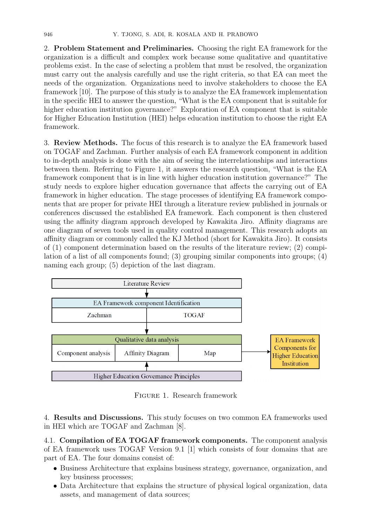2. **Problem Statement and Preliminaries.** Choosing the right EA framework for the organization is a difficult and complex work because some qualitative and quantitative problems exist. In the case of selecting a problem that must be resolved, the organization must carry out the analysis carefully and use the right criteria, so that EA can meet the needs of the organization. Organizations need to involve stakeholders to choose the EA framework [10]. The purpose of this study is to analyze the EA framework implementation in the specific HEI to answer the question, "What is the EA component that is suitable for higher education institution governance?" Exploration of EA component that is suitable for Higher Education Institution (HEI) helps education institution to choose the right EA framework.

3. **Review Methods.** The focus of this research is to analyze the EA framework based on TOGAF and Zachman. Further analysis of each EA framework component in addition to in-depth analysis is done with the aim of seeing the interrelationships and interactions between them. Referring to Figure 1, it answers the research question, "What is the EA framework component that is in line with higher education institution governance?" The study needs to explore higher education governance that affects the carrying out of EA framework in higher education. The stage processes of identifying EA framework components that are proper for private HEI through a literature review published in journals or conferences discussed the established EA framework. Each component is then clustered using the affinity diagram approach developed by Kawakita Jiro. Affinity diagrams are one diagram of seven tools used in quality control management. This research adopts an affinity diagram or commonly called the KJ Method (short for Kawakita Jiro). It consists of  $(1)$  component determination based on the results of the literature review;  $(2)$  compilation of a list of all components found; (3) grouping similar components into groups; (4) naming each group; (5) depiction of the last diagram.



Figure 1. Research framework

4. **Results and Discussions.** This study focuses on two common EA frameworks used in HEI which are TOGAF and Zachman [8].

4.1. **Compilation of EA TOGAF framework components.** The component analysis of EA framework uses TOGAF Version 9.1 [1] which consists of four domains that are part of EA. The four domains consist of:

- *•* Business Architecture that explains business strategy, governance, organization, and key business processes;
- Data Architecture that explains the structure of physical logical organization, data assets, and management of data sources;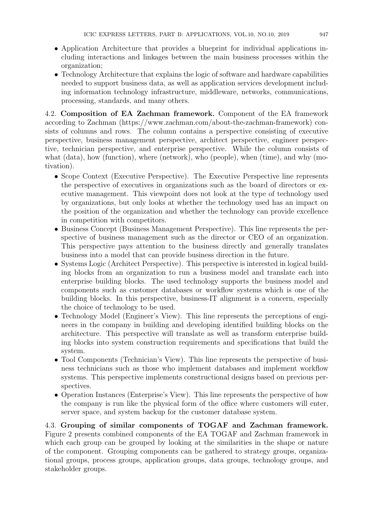- Application Architecture that provides a blueprint for individual applications including interactions and linkages between the main business processes within the organization;
- Technology Architecture that explains the logic of software and hardware capabilities needed to support business data, as well as application services development including information technology infrastructure, middleware, networks, communications, processing, standards, and many others.

4.2. **Composition of EA Zachman framework.** Component of the EA framework according to Zachman (https://www.zachman.com/about-the-zachman-framework) consists of columns and rows. The column contains a perspective consisting of executive perspective, business management perspective, architect perspective, engineer perspective, technician perspective, and enterprise perspective. While the column consists of what (data), how (function), where (network), who (people), when (time), and why (motivation).

- *•* Scope Context (Executive Perspective). The Executive Perspective line represents the perspective of executives in organizations such as the board of directors or executive management. This viewpoint does not look at the type of technology used by organizations, but only looks at whether the technology used has an impact on the position of the organization and whether the technology can provide excellence in competition with competitors.
- *•* Business Concept (Business Management Perspective). This line represents the perspective of business management such as the director or CEO of an organization. This perspective pays attention to the business directly and generally translates business into a model that can provide business direction in the future.
- *•* Systems Logic (Architect Perspective). This perspective is interested in logical building blocks from an organization to run a business model and translate each into enterprise building blocks. The used technology supports the business model and components such as customer databases or workflow systems which is one of the building blocks. In this perspective, business-IT alignment is a concern, especially the choice of technology to be used.
- Technology Model (Engineer's View). This line represents the perceptions of engineers in the company in building and developing identified building blocks on the architecture. This perspective will translate as well as transform enterprise building blocks into system construction requirements and specifications that build the system.
- Tool Components (Technician's View). This line represents the perspective of business technicians such as those who implement databases and implement workflow systems. This perspective implements constructional designs based on previous perspectives.
- Operation Instances (Enterprise's View). This line represents the perspective of how the company is run like the physical form of the office where customers will enter, server space, and system backup for the customer database system.

4.3. **Grouping of similar components of TOGAF and Zachman framework.** Figure 2 presents combined components of the EA TOGAF and Zachman framework in which each group can be grouped by looking at the similarities in the shape or nature of the component. Grouping components can be gathered to strategy groups, organizational groups, process groups, application groups, data groups, technology groups, and stakeholder groups.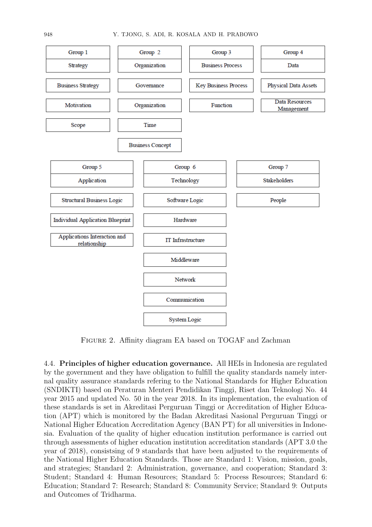

FIGURE 2. Affinity diagram EA based on TOGAF and Zachman

4.4. **Principles of higher education governance.** All HEIs in Indonesia are regulated by the government and they have obligation to fulfill the quality standards namely internal quality assurance standards refering to the National Standards for Higher Education (SNDIKTI) based on Peraturan Menteri Pendidikan Tinggi, Riset dan Teknologi No. 44 year 2015 and updated No. 50 in the year 2018. In its implementation, the evaluation of these standards is set in Akreditasi Perguruan Tinggi or Accreditation of Higher Education (APT) which is monitored by the Badan Akreditasi Nasional Perguruan Tinggi or National Higher Education Accreditation Agency (BAN PT) for all universities in Indonesia. Evaluation of the quality of higher education institution performance is carried out through assessments of higher education institution accreditation standards (APT 3.0 the year of 2018), consistsing of 9 standards that have been adjusted to the requirements of the National Higher Education Standards. Those are Standard 1: Vision, mission, goals, and strategies; Standard 2: Administration, governance, and cooperation; Standard 3: Student; Standard 4: Human Resources; Standard 5: Process Resources; Standard 6: Education; Standard 7: Research; Standard 8: Community Service; Standard 9: Outputs and Outcomes of Tridharma.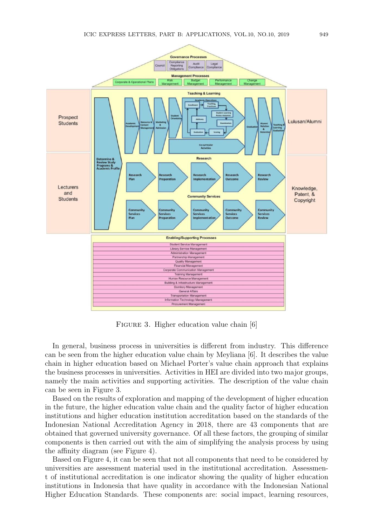

FIGURE 3. Higher education value chain [6]

In general, business process in universities is different from industry. This difference can be seen from the higher education value chain by Meyliana [6]. It describes the value chain in higher education based on Michael Porter's value chain approach that explains the business processes in universities. Activities in HEI are divided into two major groups, namely the main activities and supporting activities. The description of the value chain can be seen in Figure 3.

Based on the results of exploration and mapping of the development of higher education in the future, the higher education value chain and the quality factor of higher education institutions and higher education institution accreditation based on the standards of the Indonesian National Accreditation Agency in 2018, there are 43 components that are obtained that governed university governance. Of all these factors, the grouping of similar components is then carried out with the aim of simplifying the analysis process by using the affinity diagram (see Figure 4).

Based on Figure 4, it can be seen that not all components that need to be considered by universities are assessment material used in the institutional accreditation. Assessment of institutional accreditation is one indicator showing the quality of higher education institutions in Indonesia that have quality in accordance with the Indonesian National Higher Education Standards. These components are: social impact, learning resources,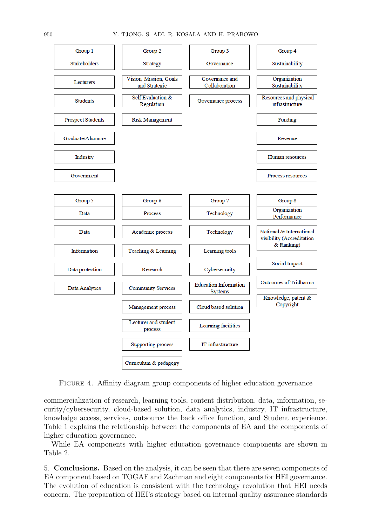

FIGURE 4. Affinity diagram group components of higher education governance

commercialization of research, learning tools, content distribution, data, information, security/cybersecurity, cloud-based solution, data analytics, industry, IT infrastructure, knowledge access, services, outsource the back office function, and Student experience. Table 1 explains the relationship between the components of EA and the components of higher education governance.

While EA components with higher education governance components are shown in Table 2.

5. **Conclusions.** Based on the analysis, it can be seen that there are seven components of EA component based on TOGAF and Zachman and eight components for HEI governance. The evolution of education is consistent with the technology revolution that HEI needs concern. The preparation of HEI's strategy based on internal quality assurance standards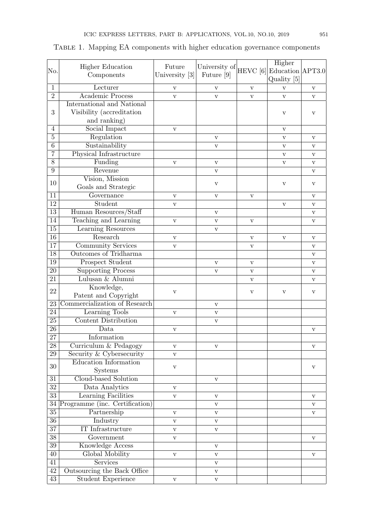|                 | <b>Higher Education</b>        | Future         | University of | $HEVC$ [6]   | Higher           |                         |
|-----------------|--------------------------------|----------------|---------------|--------------|------------------|-------------------------|
| No.             | Components                     | University [3] | Future [9]    |              | Education APT3.0 |                         |
|                 |                                |                |               |              | Quality [5]      |                         |
| $\mathbf{1}$    | Lecturer                       | V              | V             | $\mathbf{V}$ | $\mathbf{V}$     | V                       |
| $\overline{2}$  | <b>Academic Process</b>        | $\mathbf{V}$   | $\mathbf{V}$  | $\mathbf{V}$ | $\mathbf{V}$     | V                       |
|                 | International and National     |                |               |              |                  |                         |
| 3               | Visibility (accreditation      |                |               |              | $\rm{V}$         | $\rm{V}$                |
|                 | and ranking)                   |                |               |              |                  |                         |
| $\overline{4}$  | Social Impact                  | V              |               |              | $\rm{V}$         |                         |
| $\overline{5}$  | Regulation                     |                | $\mathbf{V}$  |              | $\mathbf{V}$     | V                       |
| $\overline{6}$  | Sustainability                 |                | $\mathbf{V}$  |              | $\mathbf{V}$     | V                       |
| 7               | Physical Infrastructure        |                |               |              | $\mathbf{V}$     | V                       |
| $\overline{8}$  | Funding                        | $\mathbf{V}$   | $\mathbf{V}$  |              | $\rm{V}$         | V                       |
| 9               | Revenue                        |                | $\mathbf{V}$  |              |                  | V                       |
| 10              | Vision, Mission                |                | $\rm{V}$      |              | $\rm{V}$         | V                       |
|                 | Goals and Strategic            |                |               |              |                  |                         |
| 11              | Governance                     | $\mathbf{V}$   | $\mathbf{V}$  | $\rm{V}$     |                  | $\mathbf{V}$            |
| $\overline{12}$ | Student                        | $\mathbf{V}$   |               |              | $\mathbf{V}$     | V                       |
| $\overline{13}$ | Human Resources/Staff          |                | $\rm{V}$      |              |                  | $\overline{\mathbf{V}}$ |
| $\overline{14}$ | Teaching and Learning          | $\mathbf{V}$   | $\mathbf{V}$  | $\mathbf{V}$ |                  | V                       |
| 15              | <b>Learning Resources</b>      |                | $\mathbf{V}$  |              |                  |                         |
| $\overline{16}$ | Research                       | V              |               | $\mathbf{V}$ | $\mathbf{V}$     | V                       |
| $\overline{17}$ | <b>Community Services</b>      | $\rm{V}$       |               | $\rm{V}$     |                  | V                       |
| $\overline{18}$ | Outcomes of Tridharma          |                |               |              |                  | V                       |
| 19              | Prospect Student               |                | $\mathbf{V}$  | $\mathbf{V}$ |                  | $\mathbf V$             |
| $\overline{20}$ | <b>Supporting Process</b>      |                | $\mathbf{V}$  | $\rm{V}$     |                  | V                       |
| 21              | Lulusan & Alumni               |                |               | $\mathbf{V}$ |                  | V                       |
| 22              | Knowledge,                     | V              |               | V            | $\rm{V}$         | V                       |
|                 | Patent and Copyright           |                |               |              |                  |                         |
| 23              | Commercialization of Research  |                | $\rm{V}$      |              |                  |                         |
| $\overline{24}$ | Learning Tools                 | $\rm{V}$       | $\rm{V}$      |              |                  |                         |
| $\overline{25}$ | Content Distribution           |                | $\rm{V}$      |              |                  |                         |
| $\overline{26}$ | Data                           | $\mathbf{V}$   |               |              |                  | V                       |
| 27              | Information                    |                |               |              |                  |                         |
| 28              | Curriculum & Pedagogy          | $\mathbf{V}$   | $\mathbf{V}$  |              |                  | V                       |
| $\overline{29}$ | Security & Cybersecurity       | $\rm{V}$       |               |              |                  |                         |
| 30              | Education Information          | $\mathbf{V}$   |               |              |                  | V                       |
|                 | Systems                        |                |               |              |                  |                         |
| $31\,$          | Cloud-based Solution           |                | $\rm{V}$      |              |                  |                         |
| $\overline{32}$ | Data Analytics                 | $\mathbf{V}$   |               |              |                  |                         |
| $\overline{33}$ | <b>Learning Facilities</b>     | $\rm{V}$       | $\mathbf{V}$  |              |                  | $\rm{V}$                |
| $34\,$          | Programme (inc. Certification) |                | V             |              |                  | V                       |
| $\overline{35}$ | Partnership                    | $\mathbf{V}$   | $\mathbf{V}$  |              |                  | $\mathbf{V}$            |
| $\overline{36}$ | Industry                       | $\mathbf{V}$   | $\mathbf{V}$  |              |                  |                         |
| $\overline{37}$ | IT Infrastructure              | $\mathbf{V}$   | V             |              |                  |                         |
| $\overline{38}$ | Government                     | $\mathbf{V}$   |               |              |                  | V                       |
| $\overline{39}$ | <b>Knowledge Access</b>        |                | $\mathbf{V}$  |              |                  |                         |
| 40              | Global Mobility                | $\mathbf{V}$   | $\mathbf{V}$  |              |                  | V                       |
| $\overline{41}$ | Services                       |                | V             |              |                  |                         |
| $\overline{42}$ | Outsourcing the Back Office    |                | $\mathbf{V}$  |              |                  |                         |
| $\overline{43}$ | <b>Student Experience</b>      | V              | $\mathbf{V}$  |              |                  |                         |

## TABLE 1. Mapping EA components with higher education governance components